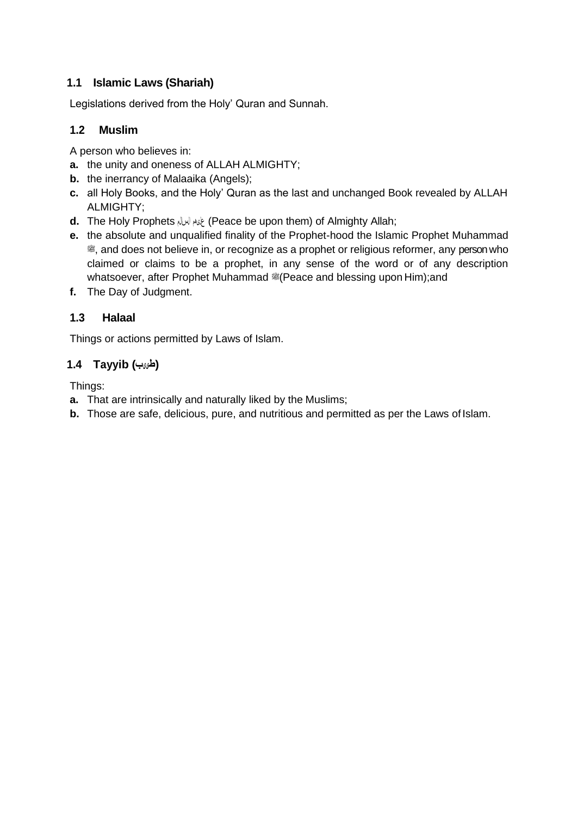## **1.1 Islamic Laws (Shariah)**

Legislations derived from the Holy' Quran and Sunnah.

# **1.2 Muslim**

A person who believes in:

- **a.** the unity and oneness of ALLAH ALMIGHTY;
- **b.** the inerrancy of Malaaika (Angels);
- **c.** all Holy Books, and the Holy' Quran as the last and unchanged Book revealed by ALLAH ALMIGHTY;
- **d.** The Holy Prophets لما الله (Peace be upon them) of Almighty Allah;
- **e.** the absolute and unqualified finality of the Prophet-hood the Islamic Prophet Muhammad a, and does not believe in, or recognize as a prophet or religious reformer, any person who claimed or claims to be a prophet, in any sense of the word or of any description whatsoever, after Prophet Muhammad #(Peace and blessing upon Him);and
- **f.** The Day of Judgment.

# **1.3 Halaal**

Things or actions permitted by Laws of Islam.

# **(طی یب ) Tayyib 1.4**

Things:

- **a.** That are intrinsically and naturally liked by the Muslims;
- **b.** Those are safe, delicious, pure, and nutritious and permitted as per the Laws of Islam.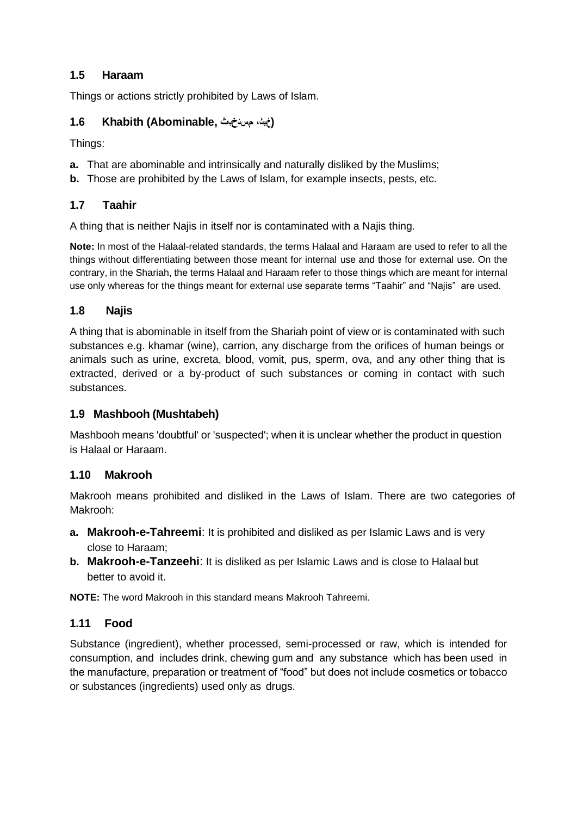## **1.5 Haraam**

Things or actions strictly prohibited by Laws of Islam.

# **(خبیث، مستخ بث ,Abominable (Khabith 1.6**

Things:

- **a.** That are abominable and intrinsically and naturally disliked by the Muslims;
- **b.** Those are prohibited by the Laws of Islam, for example insects, pests, etc.

### **1.7 Taahir**

A thing that is neither Najis in itself nor is contaminated with a Najis thing.

**Note:** In most of the Halaal-related standards, the terms Halaal and Haraam are used to refer to all the things without differentiating between those meant for internal use and those for external use. On the contrary, in the Shariah, the terms Halaal and Haraam refer to those things which are meant for internal use only whereas for the things meant for external use separate terms "Taahir" and "Najis" are used.

### **1.8 Najis**

A thing that is abominable in itself from the Shariah point of view or is contaminated with such substances e.g. khamar (wine), carrion, any discharge from the orifices of human beings or animals such as urine, excreta, blood, vomit, pus, sperm, ova, and any other thing that is extracted, derived or a by-product of such substances or coming in contact with such substances.

### **1.9 Mashbooh (Mushtabeh)**

Mashbooh means 'doubtful' or 'suspected'; when it is unclear whether the product in question is Halaal or Haraam.

## **1.10 Makrooh**

Makrooh means prohibited and disliked in the Laws of Islam. There are two categories of Makrooh:

- **a. Makrooh-e-Tahreemi**: It is prohibited and disliked as per Islamic Laws and is very close to Haraam;
- **b. Makrooh-e-Tanzeehi**: It is disliked as per Islamic Laws and is close to Halaal but better to avoid it.

**NOTE:** The word Makrooh in this standard means Makrooh Tahreemi.

### **1.11 Food**

Substance (ingredient), whether processed, semi-processed or raw, which is intended for consumption, and includes drink, chewing gum and any substance which has been used in the manufacture, preparation or treatment of "food" but does not include cosmetics or tobacco or substances (ingredients) used only as drugs.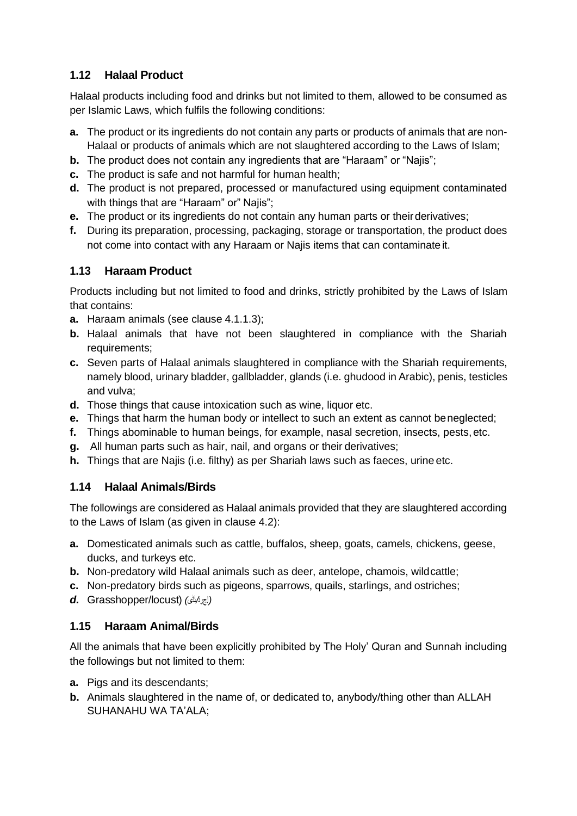# **1.12 Halaal Product**

Halaal products including food and drinks but not limited to them, allowed to be consumed as per Islamic Laws, which fulfils the following conditions:

- **a.** The product or its ingredients do not contain any parts or products of animals that are non-Halaal or products of animals which are not slaughtered according to the Laws of Islam;
- **b.** The product does not contain any ingredients that are "Haraam" or "Najis";
- **c.** The product is safe and not harmful for human health;
- **d.** The product is not prepared, processed or manufactured using equipment contaminated with things that are "Haraam" or" Najis";
- **e.** The product or its ingredients do not contain any human parts or their derivatives;
- **f.** During its preparation, processing, packaging, storage or transportation, the product does not come into contact with any Haraam or Najis items that can contaminate it.

# **1.13 Haraam Product**

Products including but not limited to food and drinks, strictly prohibited by the Laws of Islam that contains:

- **a.** Haraam animals (see clause 4.1.1.3);
- **b.** Halaal animals that have not been slaughtered in compliance with the Shariah requirements;
- **c.** Seven parts of Halaal animals slaughtered in compliance with the Shariah requirements, namely blood, urinary bladder, gallbladder, glands (i.e. ghudood in Arabic), penis, testicles and vulva;
- **d.** Those things that cause intoxication such as wine, liquor etc.
- **e.** Things that harm the human body or intellect to such an extent as cannot beneglected;
- **f.** Things abominable to human beings, for example, nasal secretion, insects, pests, etc.
- **g.** All human parts such as hair, nail, and organs or their derivatives;
- **h.** Things that are Najis (i.e. filthy) as per Shariah laws such as faeces, urine etc.

## **1.14 Halaal Animals/Birds**

The followings are considered as Halaal animals provided that they are slaughtered according to the Laws of Islam (as given in clause 4.2):

- **a.** Domesticated animals such as cattle, buffalos, sheep, goats, camels, chickens, geese, ducks, and turkeys etc.
- **b.** Non-predatory wild Halaal animals such as deer, antelope, chamois, wildcattle;
- **c.** Non-predatory birds such as pigeons, sparrows, quails, starlings, and ostriches;
- *(*ال ج ر اد */*ٹڈ ی *)* (locust/Grasshopper *.d*

## **1.15 Haraam Animal/Birds**

All the animals that have been explicitly prohibited by The Holy' Quran and Sunnah including the followings but not limited to them:

- **a.** Pigs and its descendants;
- **b.** Animals slaughtered in the name of, or dedicated to, anybody/thing other than ALLAH SUHANAHU WA TA'ALA;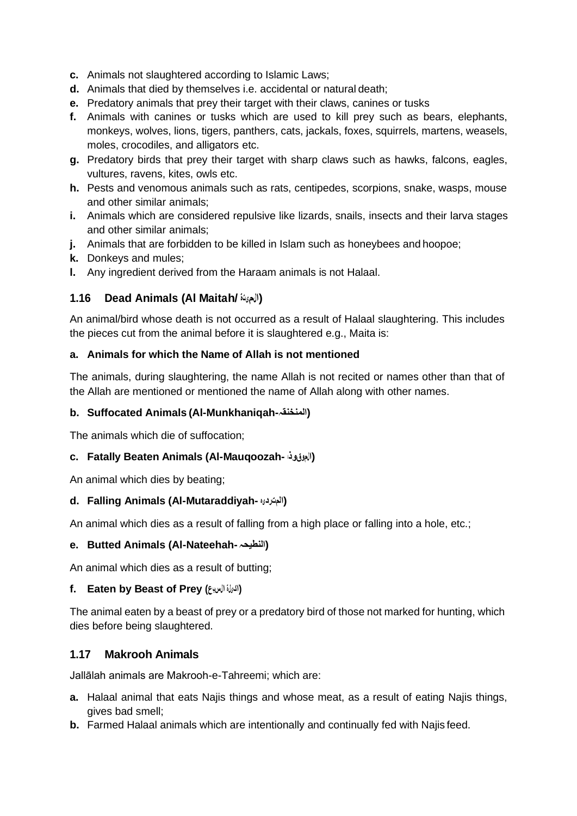- **c.** Animals not slaughtered according to Islamic Laws;
- **d.** Animals that died by themselves i.e. accidental or natural death;
- **e.** Predatory animals that prey their target with their claws, canines or tusks
- **f.** Animals with canines or tusks which are used to kill prey such as bears, elephants, monkeys, wolves, lions, tigers, panthers, cats, jackals, foxes, squirrels, martens, weasels, moles, crocodiles, and alligators etc.
- **g.** Predatory birds that prey their target with sharp claws such as hawks, falcons, eagles, vultures, ravens, kites, owls etc.
- **h.** Pests and venomous animals such as rats, centipedes, scorpions, snake, wasps, mouse and other similar animals;
- **i.** Animals which are considered repulsive like lizards, snails, insects and their larva stages and other similar animals;
- **j.** Animals that are forbidden to be killed in Islam such as honeybees and hoopoe;
- **k.** Donkeys and mules;
- **l.** Any ingredient derived from the Haraam animals is not Halaal.

### **1.16 Dead Animals (Al Maitah/ المیتۃ(**

An animal/bird whose death is not occurred as a result of Halaal slaughtering. This includes the pieces cut from the animal before it is slaughtered e.g., Maita is:

#### **a. Animals for which the Name of Allah is not mentioned**

The animals, during slaughtering, the name Allah is not recited or names other than that of the Allah are mentioned or mentioned the name of Allah along with other names.

#### **b. Suffocated Animals (Al-Munkhaniqah-المنخنقہ(**

The animals which die of suffocation;

#### **c. Fatally Beaten Animals (Al-Mauqoozah- موقوذہ ال(**

An animal which dies by beating;

#### **d. Falling Animals (Al-Mutaraddiyah- ہ ردی المت(**

An animal which dies as a result of falling from a high place or falling into a hole, etc.;

#### **e. Butted Animals (Al-Nateehah-النطیحہ(**

An animal which dies as a result of butting;

#### **f. Eaten by Beast of Prey (السبع یلۃ اک(**

The animal eaten by a beast of prey or a predatory bird of those not marked for hunting, which dies before being slaughtered.

#### **1.17 Makrooh Animals**

Jallālah animals are Makrooh-e-Tahreemi; which are:

- **a.** Halaal animal that eats Najis things and whose meat, as a result of eating Najis things, gives bad smell;
- **b.** Farmed Halaal animals which are intentionally and continually fed with Najis feed.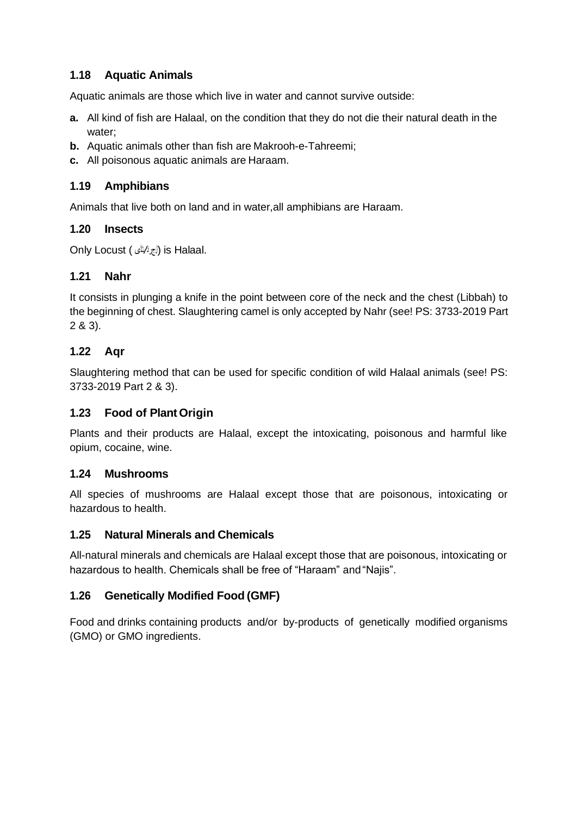### **1.18 Aquatic Animals**

Aquatic animals are those which live in water and cannot survive outside:

- **a.** All kind of fish are Halaal, on the condition that they do not die their natural death in the water;
- **b.** Aquatic animals other than fish are Makrooh-e-Tahreemi;
- **c.** All poisonous aquatic animals are Haraam.

### **1.19 Amphibians**

Animals that live both on land and in water,all amphibians are Haraam.

### **1.20 Insects**

.Halaal is) ال ج را د */*ٹ ڈ ی ) Locust Only

### **1.21 Nahr**

It consists in plunging a knife in the point between core of the neck and the chest (Libbah) to the beginning of chest. Slaughtering camel is only accepted by Nahr (see! PS: 3733-2019 Part 2 & 3).

## **1.22 Aqr**

Slaughtering method that can be used for specific condition of wild Halaal animals (see! PS: 3733-2019 Part 2 & 3).

### **1.23 Food of PlantOrigin**

Plants and their products are Halaal, except the intoxicating, poisonous and harmful like opium, cocaine, wine.

### **1.24 Mushrooms**

All species of mushrooms are Halaal except those that are poisonous, intoxicating or hazardous to health.

### **1.25 Natural Minerals and Chemicals**

All-natural minerals and chemicals are Halaal except those that are poisonous, intoxicating or hazardous to health. Chemicals shall be free of "Haraam" and "Najis".

### **1.26 Genetically Modified Food (GMF)**

Food and drinks containing products and/or by-products of genetically modified organisms (GMO) or GMO ingredients.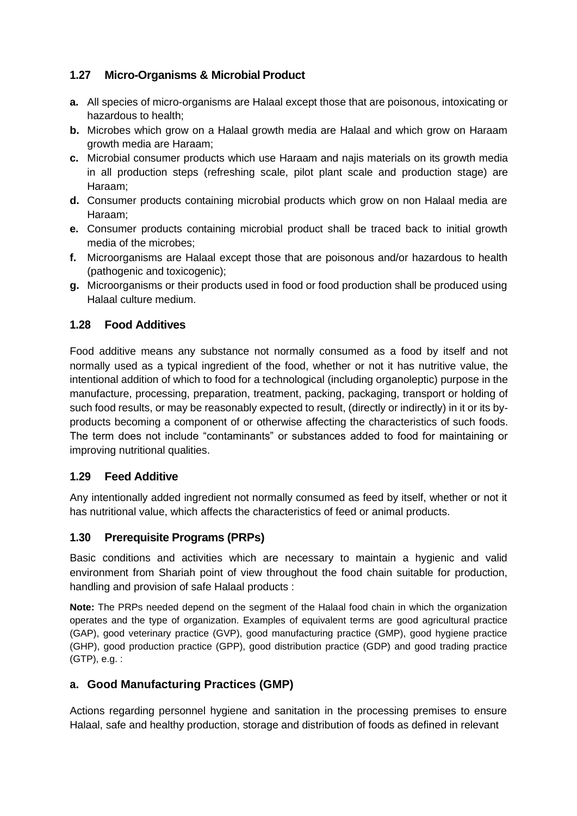# **1.27 Micro-Organisms & Microbial Product**

- **a.** All species of micro-organisms are Halaal except those that are poisonous, intoxicating or hazardous to health;
- **b.** Microbes which grow on a Halaal growth media are Halaal and which grow on Haraam growth media are Haraam;
- **c.** Microbial consumer products which use Haraam and najis materials on its growth media in all production steps (refreshing scale, pilot plant scale and production stage) are Haraam;
- **d.** Consumer products containing microbial products which grow on non Halaal media are Haraam;
- **e.** Consumer products containing microbial product shall be traced back to initial growth media of the microbes;
- **f.** Microorganisms are Halaal except those that are poisonous and/or hazardous to health (pathogenic and toxicogenic);
- **g.** Microorganisms or their products used in food or food production shall be produced using Halaal culture medium.

## **1.28 Food Additives**

Food additive means any substance not normally consumed as a food by itself and not normally used as a typical ingredient of the food, whether or not it has nutritive value, the intentional addition of which to food for a technological (including organoleptic) purpose in the manufacture, processing, preparation, treatment, packing, packaging, transport or holding of such food results, or may be reasonably expected to result, (directly or indirectly) in it or its byproducts becoming a component of or otherwise affecting the characteristics of such foods. The term does not include "contaminants" or substances added to food for maintaining or improving nutritional qualities.

## **1.29 Feed Additive**

Any intentionally added ingredient not normally consumed as feed by itself, whether or not it has nutritional value, which affects the characteristics of feed or animal products.

## **1.30 Prerequisite Programs (PRPs)**

Basic conditions and activities which are necessary to maintain a hygienic and valid environment from Shariah point of view throughout the food chain suitable for production, handling and provision of safe Halaal products :

**Note:** The PRPs needed depend on the segment of the Halaal food chain in which the organization operates and the type of organization. Examples of equivalent terms are good agricultural practice (GAP), good veterinary practice (GVP), good manufacturing practice (GMP), good hygiene practice (GHP), good production practice (GPP), good distribution practice (GDP) and good trading practice (GTP), e.g. :

## **a. Good Manufacturing Practices (GMP)**

Actions regarding personnel hygiene and sanitation in the processing premises to ensure Halaal, safe and healthy production, storage and distribution of foods as defined in relevant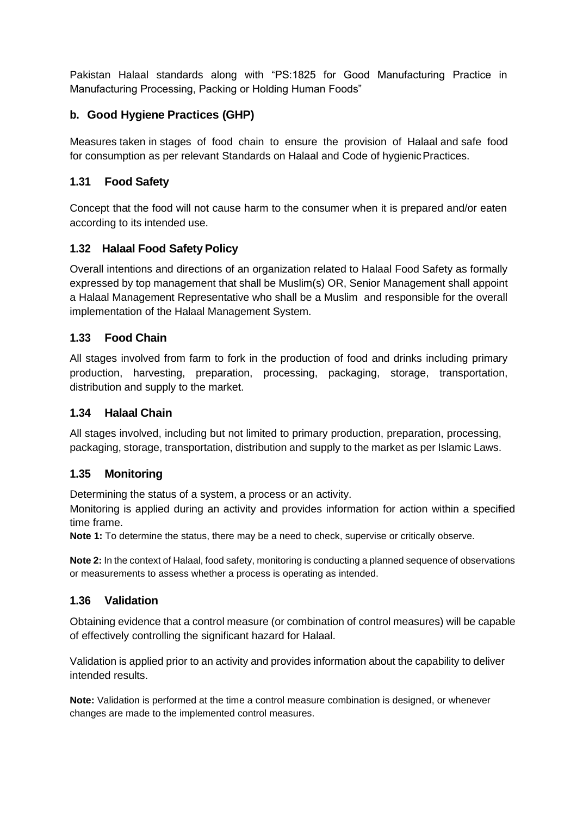Pakistan Halaal standards along with "PS:1825 for Good Manufacturing Practice in Manufacturing Processing, Packing or Holding Human Foods"

# **b. Good Hygiene Practices (GHP)**

Measures taken in stages of food chain to ensure the provision of Halaal and safe food for consumption as per relevant Standards on Halaal and Code of hygienicPractices.

## **1.31 Food Safety**

Concept that the food will not cause harm to the consumer when it is prepared and/or eaten according to its intended use.

## **1.32 Halaal Food Safety Policy**

Overall intentions and directions of an organization related to Halaal Food Safety as formally expressed by top management that shall be Muslim(s) OR, Senior Management shall appoint a Halaal Management Representative who shall be a Muslim and responsible for the overall implementation of the Halaal Management System.

## **1.33 Food Chain**

All stages involved from farm to fork in the production of food and drinks including primary production, harvesting, preparation, processing, packaging, storage, transportation, distribution and supply to the market.

### **1.34 Halaal Chain**

All stages involved, including but not limited to primary production, preparation, processing, packaging, storage, transportation, distribution and supply to the market as per Islamic Laws.

### **1.35 Monitoring**

Determining the status of a system, a process or an activity.

Monitoring is applied during an activity and provides information for action within a specified time frame.

**Note 1:** To determine the status, there may be a need to check, supervise or critically observe.

**Note 2:** In the context of Halaal, food safety, monitoring is conducting a planned sequence of observations or measurements to assess whether a process is operating as intended.

## **1.36 Validation**

Obtaining evidence that a control measure (or combination of control measures) will be capable of effectively controlling the significant hazard for Halaal.

Validation is applied prior to an activity and provides information about the capability to deliver intended results.

**Note:** Validation is performed at the time a control measure combination is designed, or whenever changes are made to the implemented control measures.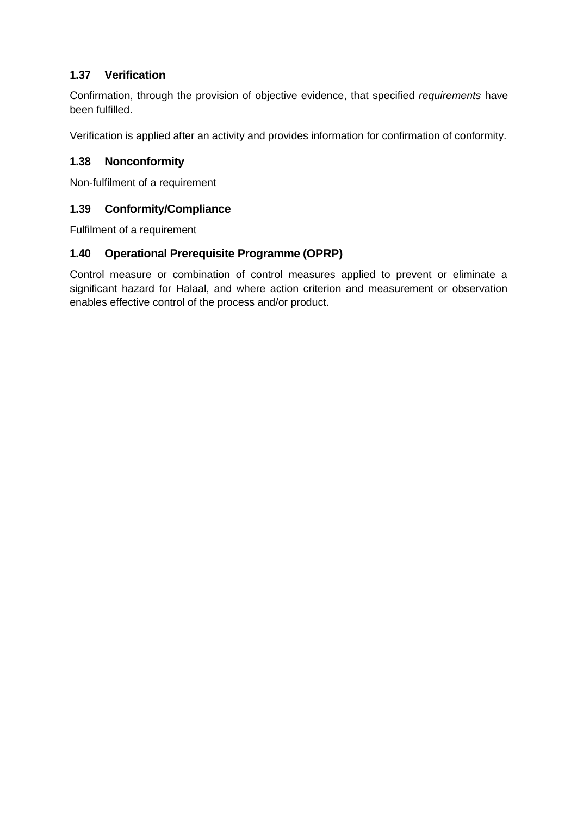# **1.37 Verification**

Confirmation, through the provision of objective evidence, that specified *requirements* have been fulfilled.

Verification is applied after an activity and provides information for confirmation of conformity.

## **1.38 Nonconformity**

Non-fulfilment of a requirement

## **1.39 Conformity/Compliance**

Fulfilment of a [requirement](https://www.iso.org/obp/ui/#iso%3Astd%3Aiso%3A9000%3Aed-4%3Av1%3Aen%3Aterm%3A3.6.4)

# **1.40 Operational Prerequisite Programme (OPRP)**

Control measure or combination of control measures applied to prevent or eliminate a significant hazard for Halaal, and where action criterion and measurement or observation enables effective control of the process and/or product.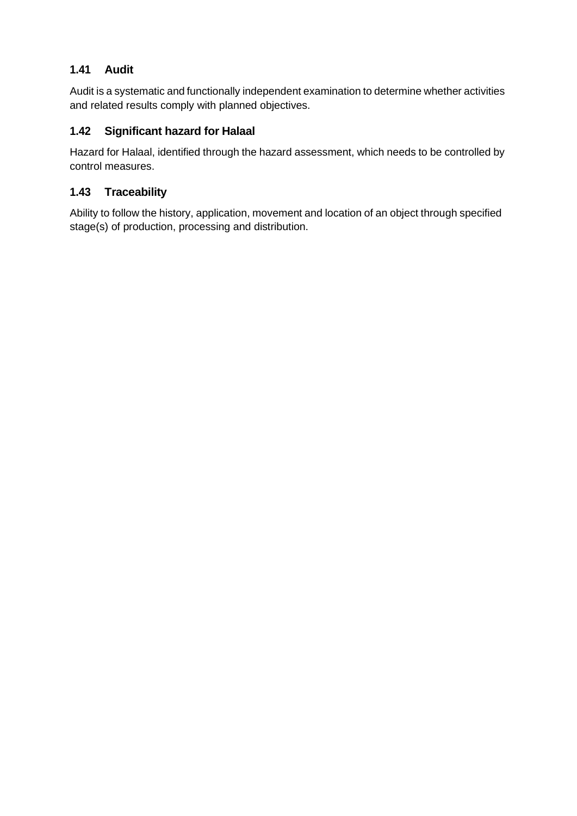# **1.41 Audit**

Audit is a systematic and functionally independent examination to determine whether activities and related results comply with planned objectives.

# **1.42 Significant hazard for Halaal**

Hazard for Halaal, identified through the hazard assessment, which needs to be controlled by control measures.

# **1.43 Traceability**

Ability to follow the history, application, movement and location of an object through specified stage(s) of production, processing and distribution.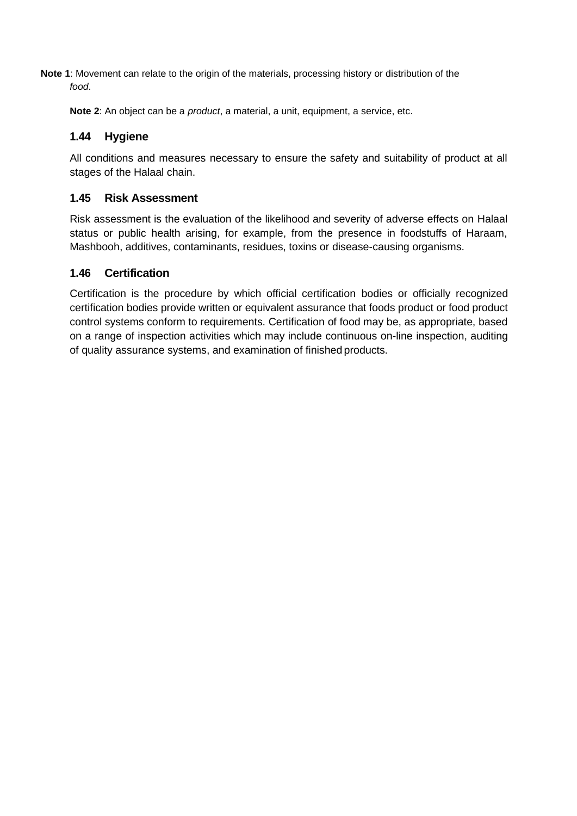**Note 1**: Movement can relate to the origin of the materials, processing history or distribution of the *food*.

**Note 2**: An object can be a *product*, a material, a unit, equipment, a service, etc.

### **1.44 Hygiene**

All conditions and measures necessary to ensure the safety and suitability of product at all stages of the Halaal chain.

### **1.45 Risk Assessment**

Risk assessment is the evaluation of the likelihood and severity of adverse effects on Halaal status or public health arising, for example, from the presence in foodstuffs of Haraam, Mashbooh, additives, contaminants, residues, toxins or disease-causing organisms.

### **1.46 Certification**

Certification is the procedure by which official certification bodies or officially recognized certification bodies provide written or equivalent assurance that foods product or food product control systems conform to requirements. Certification of food may be, as appropriate, based on a range of inspection activities which may include continuous on-line inspection, auditing of quality assurance systems, and examination of finished products.